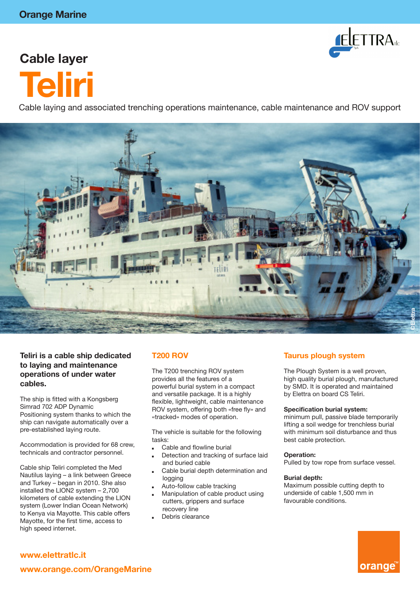

# **Cable layer Teliri**

Cable laying and associated trenching operations maintenance, cable maintenance and ROV support



#### **Teliri is a cable ship dedicated to laying and maintenance operations of under water cables.**

The ship is fitted with a Kongsberg Simrad 702 ADP Dynamic Positioning system thanks to which the ship can navigate automatically over a pre-established laying route.

Accommodation is provided for 68 crew, technicals and contractor personnel.

Cable ship Teliri completed the Med Nautilus laying – a link between Greece and Turkey – began in 2010. She also installed the LION2 system – 2,700 kilometers of cable extending the LION system (Lower Indian Ocean Network) to Kenya via Mayotte. This cable offers Mayotte, for the first time, access to high speed internet.

### **T200 ROV**

The T200 trenching ROV system provides all the features of a powerful burial system in a compact and versatile package. It is a highly flexible, lightweight, cable maintenance ROV system, offering both «free fly» and «tracked» modes of operation.

The vehicle is suitable for the following tasks:

- Cable and flowline burial
- Detection and tracking of surface laid and buried cable
- Cable burial depth determination and logging
- Auto-follow cable tracking
- Manipulation of cable product using cutters, grippers and surface recovery line
- Debris clearance

#### **Taurus plough system**

The Plough System is a well proven, high quality burial plough, manufactured by SMD. It is operated and maintained by Elettra on board CS Teliri.

#### **Specification burial system:**

minimum pull, passive blade temporarily lifting a soil wedge for trenchless burial with minimum soil disturbance and thus best cable protection.

#### **Operation:**

Pulled by tow rope from surface vessel.

#### **Burial depth:**

Maximum possible cutting depth to underside of cable 1,500 mm in favourable conditions.



### **www.elettratlc.it**